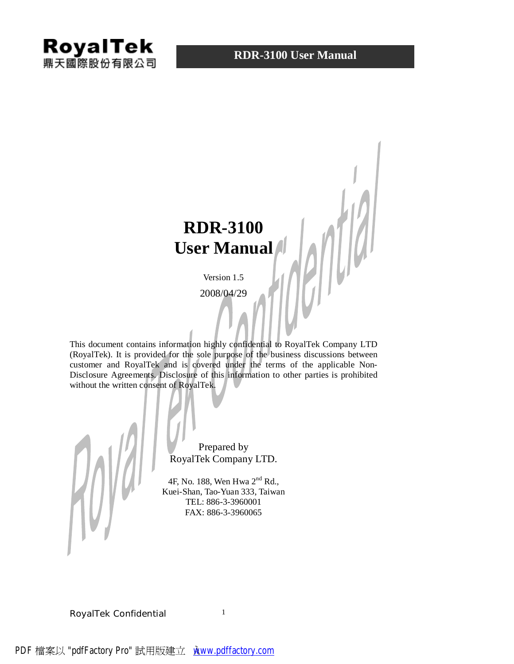



This document contains information highly confidential to RoyalTek Company LTD (RoyalTek). It is provided for the sole purpose of the business discussions between customer and RoyalTek and is covered under the terms of the applicable Non-Disclosure Agreements. Disclosure of this information to other parties is prohibited without the written consent of RoyalTek.

> Prepared by RoyalTek Company LTD.

4F, No. 188, Wen Hwa 2<sup>nd</sup> Rd., Kuei-Shan, Tao-Yuan 333, Taiwan TEL: 886-3-3960001 FAX: 886-3-3960065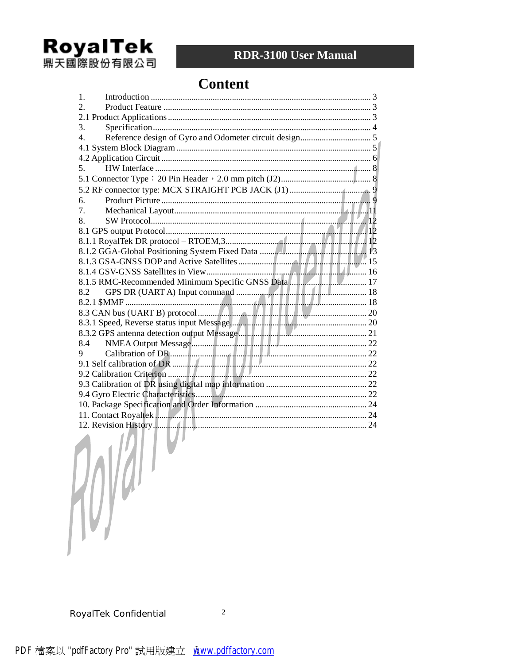

# **Content**

| 1.             |  |
|----------------|--|
| 2.             |  |
|                |  |
| 3.             |  |
| 4.             |  |
|                |  |
|                |  |
| 5 <sub>1</sub> |  |
|                |  |
|                |  |
| 6.             |  |
| 7.             |  |
| 8.             |  |
|                |  |
|                |  |
|                |  |
|                |  |
|                |  |
|                |  |
|                |  |
|                |  |
|                |  |
|                |  |
|                |  |
|                |  |
|                |  |
|                |  |
|                |  |
|                |  |
|                |  |
|                |  |
|                |  |
|                |  |
| HOVU'          |  |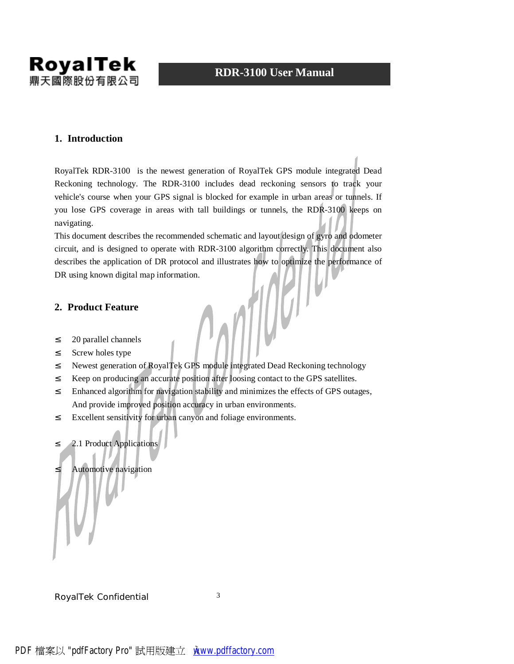

#### **1. Introduction**

RoyalTek RDR-3100 is the newest generation of RoyalTek GPS module integrated Dead Reckoning technology. The RDR-3100 includes dead reckoning sensors to track your vehicle's course when your GPS signal is blocked for example in urban areas or tunnels. If you lose GPS coverage in areas with tall buildings or tunnels, the RDR-3100 keeps on navigating.

This document describes the recommended schematic and layout design of gyro and odometer circuit, and is designed to operate with RDR-3100 algorithm correctly. This document also describes the application of DR protocol and illustrates how to optimize the performance of DR using known digital map information.

#### **2. Product Feature**

- ² 20 parallel channels
- <sup>2</sup> Screw holes type
- <sup>2</sup> Newest generation of RoyalTek GPS module integrated Dead Reckoning technology
- <sup>2</sup> Keep on producing an accurate position after loosing contact to the GPS satellites.
- <sup>2</sup> Enhanced algorithm for navigation stability and minimizes the effects of GPS outages, And provide improved position accuracy in urban environments.
- <sup>2</sup> Excellent sensitivity for urban canyon and foliage environments.

#### ² 2.1 Product Applications

#### ² Automotive navigation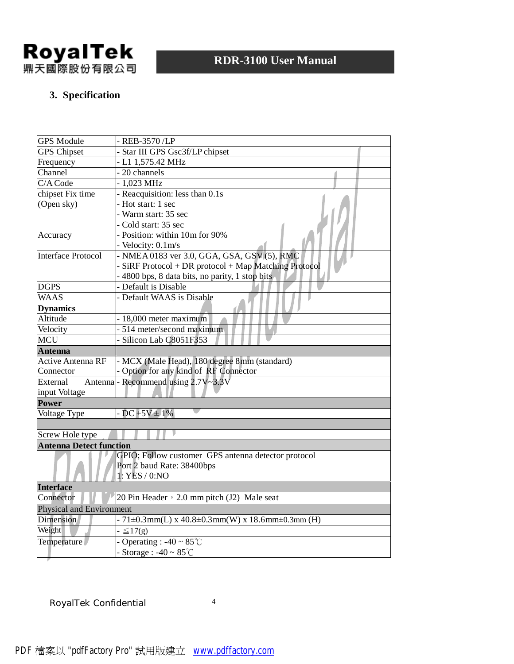

# **3. Specification**

| <b>GPS</b> Module               | - REB-3570/LP                                         |  |  |
|---------------------------------|-------------------------------------------------------|--|--|
| <b>GPS</b> Chipset              | Star III GPS Gsc3f/LP chipset                         |  |  |
| Frequency                       | - L1 1,575.42 MHz                                     |  |  |
| Channel                         | 20 channels                                           |  |  |
| C/A Code                        | $-1,023$ MHz                                          |  |  |
| chipset Fix time                | - Reacquisition: less than $\overline{0.1s}$          |  |  |
| (Open sky)                      | - Hot start: 1 sec                                    |  |  |
|                                 | - Warm start: 35 sec                                  |  |  |
|                                 | - Cold start: 35 sec                                  |  |  |
| Accuracy                        | - Position: within 10m for 90%                        |  |  |
|                                 | - Velocity: 0.1m/s                                    |  |  |
| Interface Protocol              | - NMEA 0183 ver 3.0, GGA, GSA, GSV (5), RMC           |  |  |
|                                 | - SiRF Protocol + DR protocol + Map Matching Protocol |  |  |
|                                 | -4800 bps, 8 data bits, no parity, 1 stop bits        |  |  |
| <b>DGPS</b>                     | - Default is Disable                                  |  |  |
| <b>WAAS</b>                     | - Default WAAS is Disable                             |  |  |
| <b>Dynamics</b>                 |                                                       |  |  |
| Altitude                        | - 18,000 meter maximum                                |  |  |
| Velocity                        | - 514 meter/second maximum                            |  |  |
| <b>MCU</b>                      | Silicon Lab C8051F353                                 |  |  |
| Antenna                         |                                                       |  |  |
| <b>Active Antenna RF</b>        | - MCX (Male Head), 180 degree 8mm (standard)          |  |  |
| Connector                       | - Option for any kind of RF Connector                 |  |  |
| External                        | Antenna-Recommend using 2.7V~3.3V                     |  |  |
| input Voltage                   |                                                       |  |  |
| Power                           |                                                       |  |  |
| Voltage Type                    | $-DC + 5V + 1\%$                                      |  |  |
|                                 |                                                       |  |  |
| Screw Hole type                 |                                                       |  |  |
| <b>Antenna Detect function</b>  |                                                       |  |  |
|                                 | GPIO; Follow customer GPS antenna detector protocol   |  |  |
|                                 | Port 2 baud Rate: 38400bps                            |  |  |
|                                 | 1: YES / 0:NO                                         |  |  |
| <b>Interface</b>                |                                                       |  |  |
| Connector                       | 20 Pin Header, 2.0 mm pitch (J2) Male seat            |  |  |
| <b>Physical and Environment</b> |                                                       |  |  |
| Dimension                       | - 71±0.3mm(L) x 40.8±0.3mm(W) x 18.6mm±0.3mm (H)      |  |  |
| Weight                          | $ \leq$ 17(g)                                         |  |  |
| Temperature                     | - Operating : -40 ~ $85^{\circ}$ C                    |  |  |
|                                 | Storage : $-40 \sim 85^{\circ}$ C                     |  |  |
|                                 |                                                       |  |  |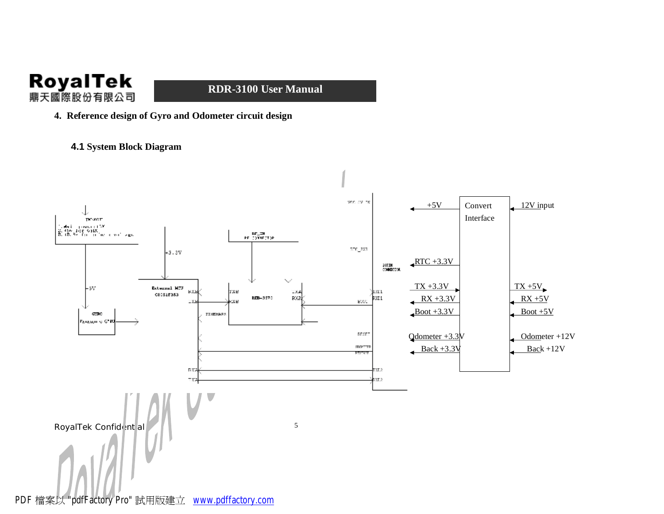

- **4. Reference design of Gyro and Odometer circuit design** 
	- **4.1 System Block Diagram**



PDF 檔案以 "pdfFactory Pro" 試用版建立 [www.pdffactory.com](http://www.pdffactory.com)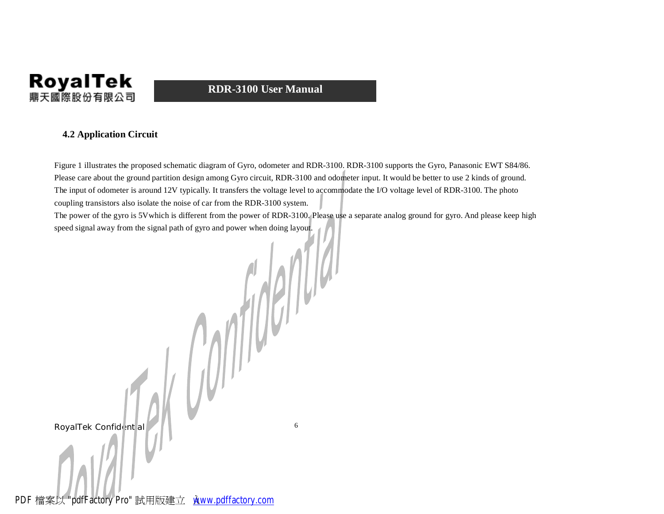

## **4.2 Application Circuit**

Figure 1 illustrates the proposed schematic diagram of Gyro, odometer and RDR-3100. RDR-3100 supports the Gyro, Panasonic EWT S84/86. Please care about the ground partition design among Gyro circuit, RDR-3100 and odometer input. It would be better to use 2 kinds of ground. The input of odometer is around 12V typically. It transfers the voltage level to accommodate the I/O voltage level of RDR-3100. The photo coupling transistors also isolate the noise of car from the RDR-3100 system.

The power of the gyro is 5Vwhich is different from the power of RDR-3100. Please use a separate analog ground for gyro. And please keep high speed signal away from the signal path of gyro and power when doing layout.

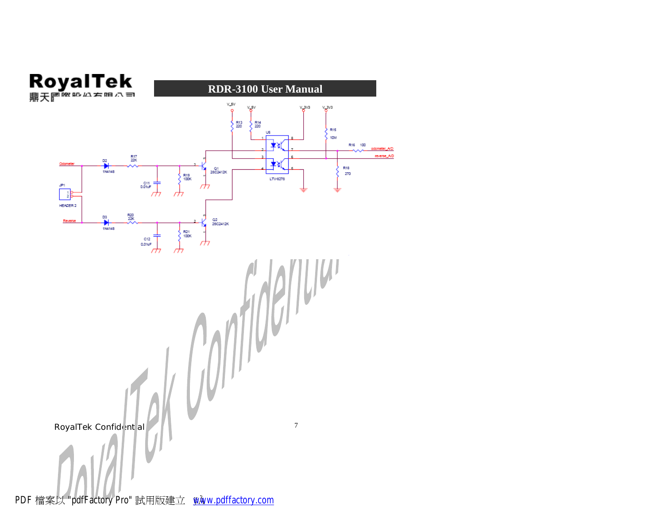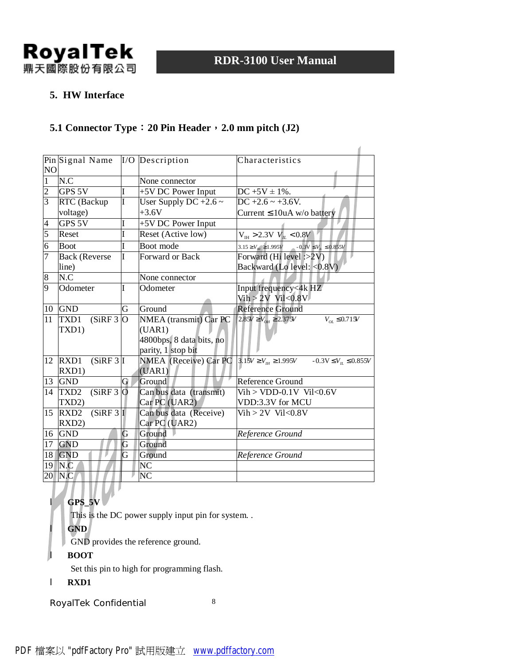

d

# **5. HW Interface**

# **5.1 Connector Type**:**20 Pin Header**,**2.0 mm pitch (J2)**

|                |                                            |   |                            | Characteristics                                                             |
|----------------|--------------------------------------------|---|----------------------------|-----------------------------------------------------------------------------|
|                | Pin Signal Name                            |   | $IO$ Description           |                                                                             |
| N <sub>O</sub> |                                            |   |                            |                                                                             |
| $\overline{1}$ | N.C                                        |   | None connector             |                                                                             |
| $\frac{2}{3}$  | GPS 5V                                     |   | +5V DC Power Input         | $DC + 5V \pm 1\%$ .                                                         |
|                | RTC (Backup                                | I | User Supply DC +2.6 $\sim$ | $DC + 2.6 \sim +3.6V$ .                                                     |
|                | voltage)                                   |   | $+3.6V$                    | Current $\leq 10$ uA w/o battery                                            |
| $\overline{4}$ | GPS <sub>5V</sub>                          |   | +5V DC Power Input         |                                                                             |
| $\overline{5}$ | Reset                                      | I | Reset (Active low)         | $V_{\text{IH}} > 2.3 V V_L < 0.8 V$                                         |
| $\overline{6}$ | <b>Boot</b>                                |   | Boot mode                  | $3.15 \ge V_H \ge 1.995V$ $-0.3V \le V_H \le 0.855V$                        |
| $\overline{7}$ | <b>Back (Reverse</b>                       | I | Forward or Back            | Forward (Hi level :>2V)                                                     |
|                | line)                                      |   |                            | Backward (Lo level: < 0.8V)                                                 |
| $\overline{8}$ | N.C                                        |   | None connector             |                                                                             |
| 9              | Odometer                                   |   | Odometer                   | Input frequency<4k HZ                                                       |
|                |                                            |   |                            | $Vih > 2V$ $Vi1 < 0.8V$                                                     |
| 10             | <b>GND</b>                                 | G | Ground                     | <b>Reference Ground</b>                                                     |
| 11             | (SiRF3)<br>TXD1                            |   | NMEA (transmit) Car PC     | $2.85V \ge V_{OH} \ge 2.375V$<br>$V_{OL} \leq 0.715V$                       |
|                | TXD1)                                      |   | (UAR1)                     |                                                                             |
|                |                                            |   | 4800bps, 8 data bits, no   |                                                                             |
|                |                                            |   | parity, 1 stop bit         |                                                                             |
| 12             | RXD1<br>(SiRF 3)                           |   |                            | NMEA (Receive) Car PC $3.15V \ge V_H \ge 1.995V$ $-0.3V \le V_L \le 0.855V$ |
|                | RXD1)                                      |   | (UAR1)                     |                                                                             |
|                | $13$ GND                                   | G | Ground                     | Reference Ground                                                            |
| 14             | $(SiRF3)$ <sup>O</sup><br>TXD <sub>2</sub> |   | Can bus data (transmit)    | $Vih > VDD-0.1V$ Vil<0.6V                                                   |
|                | TXD <sub>2</sub> )                         |   | Car <sub>PC</sub> (UAR2)   | VDD:3.3V for MCU                                                            |
| $ 15\rangle$   | (SiRF3)<br>RXD <sub>2</sub>                |   | Can bus data (Receive)     | $Vih > 2V$ $Vi1 < 0.8V$                                                     |
|                | RXD <sub>2</sub> )                         |   | Car PC (UAR2)              |                                                                             |
|                | $16$ GND                                   | Ġ | Ground                     | Reference Ground                                                            |
| 17             | <b>GND</b>                                 | G | Ground                     |                                                                             |
| 18             | <b>GND</b>                                 | G | Ground                     | Reference Ground                                                            |
|                | 19 N.C                                     |   | <b>NC</b>                  |                                                                             |
|                | 20 N.C                                     |   | N <sub>C</sub>             |                                                                             |

# l **GPS\_5V**

This is the DC power supply input pin for system. .

l **GND** 

GND provides the reference ground.

# l **BOOT**

Set this pin to high for programming flash.

l **RXD1**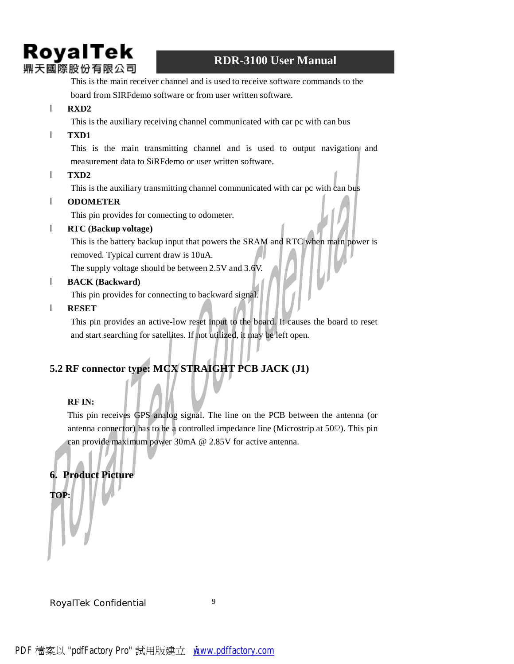# RoyalTek 鼎天國際股份有限公司

# **RDR-3100 User Manual**

This is the main receiver channel and is used to receive software commands to the

board from SIRFdemo software or from user written software.

# l **RXD2**

This is the auxiliary receiving channel communicated with car pc with can bus

## l **TXD1**

This is the main transmitting channel and is used to output navigation and measurement data to SiRFdemo or user written software.

#### l **TXD2**

This is the auxiliary transmitting channel communicated with car pc with can bus

# l **ODOMETER**

This pin provides for connecting to odometer.

# l **RTC (Backup voltage)**

This is the battery backup input that powers the SRAM and RTC when main power is removed. Typical current draw is 10uA.

The supply voltage should be between 2.5V and 3.6V.

#### l **BACK (Backward)**

This pin provides for connecting to backward signal.

#### l **RESET**

This pin provides an active-low reset input to the board. It causes the board to reset and start searching for satellites. If not utilized, it may be left open.

# **5.2 RF connector type: MCX STRAIGHT PCB JACK (J1)**

# **RF IN:**

This pin receives GPS analog signal. The line on the PCB between the antenna (or antenna connector) has to be a controlled impedance line (Microstrip at 50Ω). This pin can provide maximum power 30mA @ 2.85V for active antenna.

# **6. Product Picture**

**TOP:**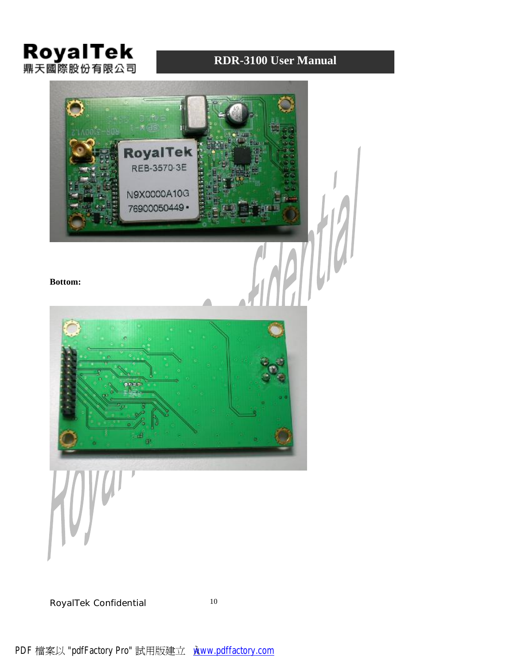# **RoyalTek**<br>鼎天國際股份有限公司

# **RDR-3100 User Manual**

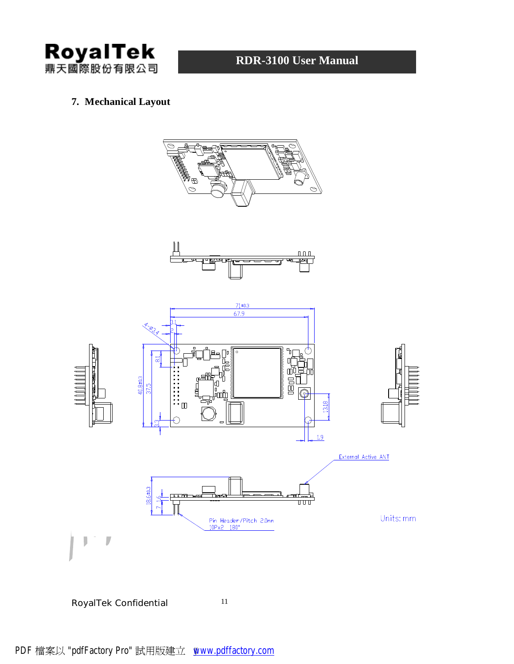

# **7. Mechanical Layout**

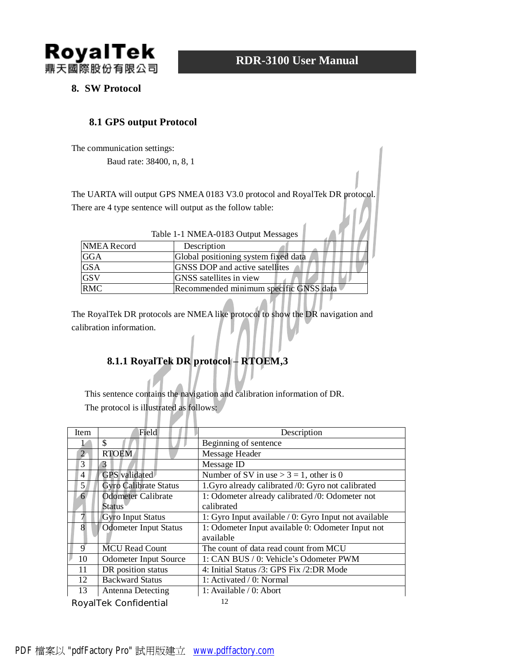

**8. SW Protocol** 

# **8.1 GPS output Protocol**

The communication settings: Baud rate: 38400, n, 8, 1

The UARTA will output GPS NMEA 0183 V3.0 protocol and RoyalTek DR protocol. There are 4 type sentence will output as the follow table:

|                    | Table 1-1 NMEA-0183 Output Messages    |
|--------------------|----------------------------------------|
| <b>NMEA</b> Record | Description                            |
| <b>GGA</b>         | Global positioning system fixed data   |
| <b>GSA</b>         | <b>GNSS DOP</b> and active satellites  |
| <b>GSV</b>         | GNSS satellites in view                |
| <b>RMC</b>         | Recommended minimum specific GNSS data |

The RoyalTek DR protocols are NMEA like protocol to show the DR navigation and calibration information.

# **8.1.1 RoyalTek DR protocol – RTOEM,3**

This sentence contains the navigation and calibration information of DR. The protocol is illustrated as follows:

| Item           | Field                        | Description                                           |
|----------------|------------------------------|-------------------------------------------------------|
|                | \$                           | Beginning of sentence                                 |
| $\overline{2}$ | <b>RTOEM</b>                 | Message Header                                        |
| 3              | 3                            | Message ID                                            |
| 4              | GPS validated                | Number of SV in use $> 3 = 1$ , other is 0            |
| 5 <sub>1</sub> | <b>Gyro Calibrate Status</b> | 1. Gyro already calibrated /0: Gyro not calibrated    |
| 6              | <b>Odometer Calibrate</b>    | 1: Odometer already calibrated /0: Odometer not       |
|                | <b>Status</b>                | calibrated                                            |
|                | <b>Gyro Input Status</b>     | 1: Gyro Input available / 0: Gyro Input not available |
| 8              | <b>Odometer Input Status</b> | 1: Odometer Input available 0: Odometer Input not     |
|                |                              | available                                             |
| 9              | <b>MCU</b> Read Count        | The count of data read count from MCU                 |
| 10             | <b>Odometer Input Source</b> | 1: CAN BUS / 0: Vehicle's Odometer PWM                |
| 11             | DR position status           | 4: Initial Status /3: GPS Fix /2:DR Mode              |
| 12             | <b>Backward Status</b>       | 1: Activated / 0: Normal                              |
| 13             | Antenna Detecting            | 1: Available / 0: Abort                               |
|                | DavalTak Canfidantial        | $12^{\circ}$                                          |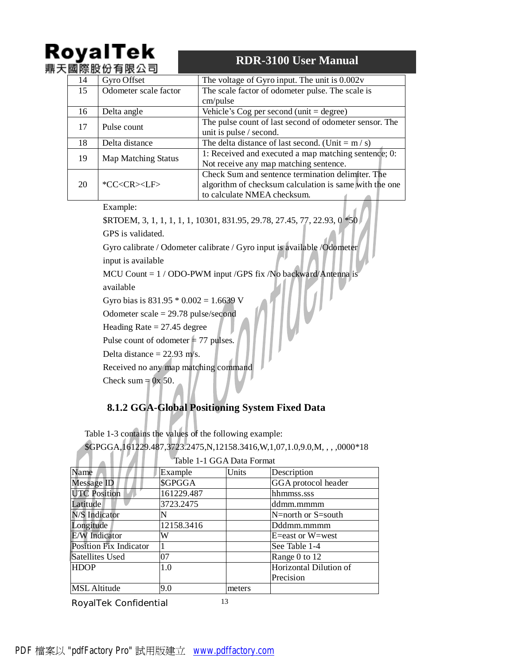# RoyalTek 鼎天國際股份有限公司

# **RDR-3100 User Manual**

|    | 14 | Gyro Offset                            | The voltage of Gyro input. The unit is $0.002v$        |  |  |  |
|----|----|----------------------------------------|--------------------------------------------------------|--|--|--|
|    | 15 | Odometer scale factor                  | The scale factor of odometer pulse. The scale is       |  |  |  |
|    |    |                                        | cm/pulse                                               |  |  |  |
|    | 16 | Delta angle                            | Vehicle's Cog per second (unit = degree)               |  |  |  |
| 17 |    | Pulse count                            | The pulse count of last second of odometer sensor. The |  |  |  |
|    |    |                                        | unit is pulse / second.                                |  |  |  |
|    | 18 | Delta distance                         | The delta distance of last second. (Unit = $m / s$ )   |  |  |  |
| 19 |    | <b>Map Matching Status</b>             | 1: Received and executed a map matching sentence; 0:   |  |  |  |
|    |    | Not receive any map matching sentence. |                                                        |  |  |  |
|    |    |                                        | Check Sum and sentence termination delimiter. The      |  |  |  |
|    | 20 | *CC <cr><lf></lf></cr>                 | algorithm of checksum calculation is same with the one |  |  |  |
|    |    |                                        | to calculate NMEA checksum.                            |  |  |  |

Example:

\$RTOEM, 3, 1, 1, 1, 1, 1, 10301, 831.95, 29.78, 27.45, 77, 22.93, 0 \*50 GPS is validated.

Gyro calibrate / Odometer calibrate / Gyro input is available /Odometer input is available

MCU Count = 1 / ODO-PWM input /GPS fix /No backward/Antenna is

available

Gyro bias is  $831.95 * 0.002 = 1.6639$  V

Odometer scale = 29.78 pulse/second

Heading Rate  $= 27.45$  degree

Pulse count of odometer = 77 pulses.

Delta distance  $= 22.93$  m/s.

Received no any map matching command

Check sum  $= 0x$  50.

1 *1 7 1* 1 1

# **8.1.2 GGA-Global Positioning System Fixed Data**

Table 1-1 GGA Data Format

Table 1-3 contains the values of the following example:

\$GPGGA,161229.487,3723.2475,N,12158.3416,W,1,07,1.0,9.0,M, , , ,0000\*18

|            | Table 1-1 CRTA Data Politial |                            |
|------------|------------------------------|----------------------------|
| Example    | Units                        | Description                |
| \$GPGGA    |                              | GGA protocol header        |
| 161229.487 |                              | hhmmss.sss                 |
| 3723.2475  |                              | ddmm.mmmm                  |
| N          |                              | $N =$ north or $S =$ south |
| 12158.3416 |                              | Dddmm.mmmm                 |
| W          |                              | $E =$ east or $W =$ west   |
|            |                              | See Table 1-4              |
| 07         |                              | Range 0 to 12              |
| 1.0        |                              | Horizontal Dilution of     |
|            |                              | Precision                  |
| 9.0        | meters                       |                            |
|            |                              |                            |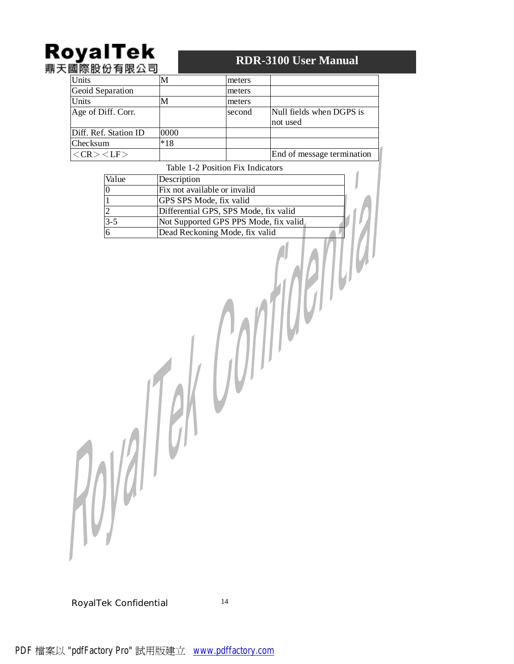# RoyalTek

# **RDR-3100 User Manual**

HOGIL

| 、幽际以以月欧公马             |       |        |                            |  |  |
|-----------------------|-------|--------|----------------------------|--|--|
| Units                 | М     | meters |                            |  |  |
| Geoid Separation      |       | meters |                            |  |  |
| Units                 | М     | meters |                            |  |  |
| Age of Diff. Corr.    |       | second | Null fields when DGPS is   |  |  |
|                       |       |        | not used                   |  |  |
| Diff. Ref. Station ID | 0000  |        |                            |  |  |
| Checksum              | $*18$ |        |                            |  |  |
| $<$ CR $>$ $<$ LF $>$ |       |        | End of message termination |  |  |

Table 1-2 Position Fix Indicators

| Value   | Description                           |  |
|---------|---------------------------------------|--|
|         | Fix not available or invalid          |  |
|         | GPS SPS Mode, fix valid               |  |
|         | Differential GPS, SPS Mode, fix valid |  |
| $3 - 5$ | Not Supported GPS PPS Mode, fix valid |  |
|         | Dead Reckoning Mode, fix valid        |  |

*RoyalTek Confidential* 14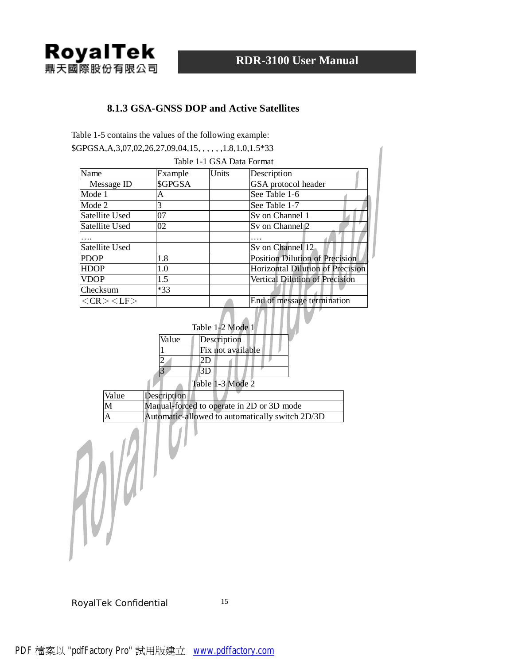

# **8.1.3 GSA-GNSS DOP and Active Satellites**

Table 1-5 contains the values of the following example:

|  | $GPGSA, A, 3, 07, 02, 26, 27, 09, 04, 15, , , , , , 1.8, 1.0, 1.5*33$ |  |  |
|--|-----------------------------------------------------------------------|--|--|
|--|-----------------------------------------------------------------------|--|--|

| Table 1-1 GSA Data Format |         |       |                                         |  |
|---------------------------|---------|-------|-----------------------------------------|--|
| Name                      | Example | Units | Description                             |  |
| Message ID                | \$GPGSA |       | GSA protocol header                     |  |
| Mode 1                    | А       |       | See Table 1-6                           |  |
| Mode 2                    | 3       |       | See Table 1-7                           |  |
| Satellite Used            | 07      |       | Sy on Channel 1                         |  |
| Satellite Used            | 02      |       | Sv on Channel 2                         |  |
|                           |         |       |                                         |  |
| Satellite Used            |         |       | Sv on Channel 12                        |  |
| <b>PDOP</b>               | 1.8     |       | Position Dilution of Precision          |  |
| <b>HDOP</b>               | 1.0     |       | <b>Horizontal Dilution of Precision</b> |  |
| <b>VDOP</b>               | 1.5     |       | <b>Vertical Dilution of Precision</b>   |  |
| Checksum                  | $*33$   |       |                                         |  |
| $<<$ CR $>>$ $<$ LF $>$   |         |       | End of message termination              |  |

| Table 1-2 Mode 1 |                   |  |  |
|------------------|-------------------|--|--|
| Value            | Description       |  |  |
|                  | Fix not available |  |  |
| 2                | 2D                |  |  |
| 3                | 3D                |  |  |
|                  | Table 1-3 Mode 2  |  |  |

| <b>THUIL I-JIVIUUL 4</b> |                                                 |  |  |
|--------------------------|-------------------------------------------------|--|--|
| Value                    | Description                                     |  |  |
| M                        | Manual-forced to operate in 2D or 3D mode       |  |  |
|                          | Automatic-allowed to automatically switch 2D/3D |  |  |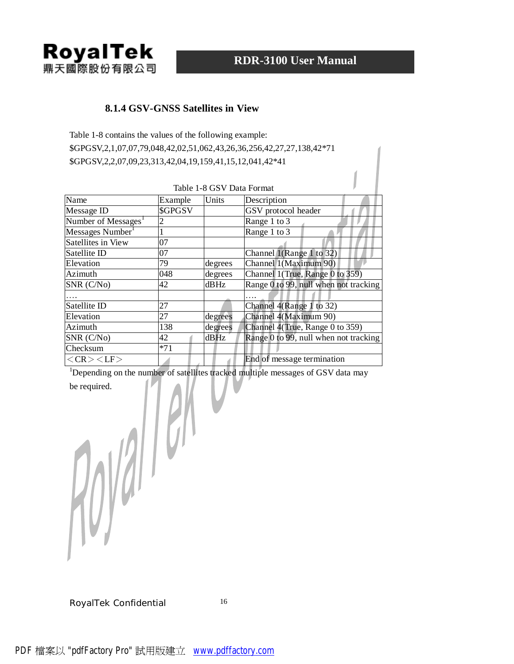**RoyalTek**<br>鼎天國際股份有限公司

## **8.1.4 GSV-GNSS Satellites in View**

Table 1-8 contains the values of the following example: \$GPGSV,2,1,07,07,79,048,42,02,51,062,43,26,36,256,42,27,27,138,42\*71 \$GPGSV,2,2,07,09,23,313,42,04,19,159,41,15,12,041,42\*41

| Table 1-8 GSV Data Format       |         |         |                                       |
|---------------------------------|---------|---------|---------------------------------------|
| Name                            | Example | Units   | Description                           |
| Message ID                      | \$GPGSV |         | GSV protocol header                   |
| Number of Messages <sup>1</sup> |         |         | Range 1 to 3                          |
| Messages Number                 |         |         | Range 1 to 3                          |
| Satellites in View              | 07      |         |                                       |
| Satellite ID                    | 07      |         | Channel $(1)$ (Range $(1)$ to 32)     |
| Elevation                       | 79      | degrees | Channel 1(Maximum 90)                 |
| Azimuth                         | 048     | degrees | Channel 1(True, Range 0 to 359)       |
| SNR (C/No)                      | 42      | dBHz    | Range 0 to 99, null when not tracking |
|                                 |         |         |                                       |
| Satellite ID                    | 27      |         | Channel 4(Range 1 to 32)              |
| Elevation                       | 27      | degrees | Channel 4(Maximum 90)                 |
| Azimuth                         | 138     | degrees | Channel 4(True, Range 0 to 359)       |
| SNR (C/No)                      | 42      | dBHz    | Range 0 to 99, null when not tracking |
| Checksum                        | $*71$   |         |                                       |
| $<$ CR $>$ $<$ LF $>$           |         |         | End of message termination            |

<sup>1</sup>Depending on the number of satellites tracked multiple messages of GSV data may be required.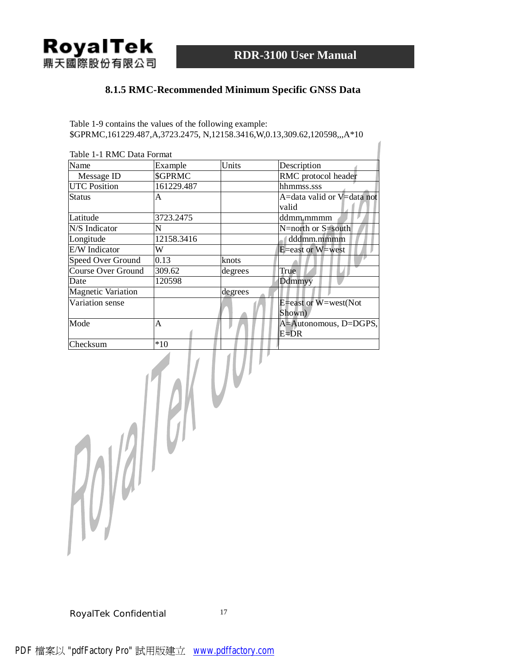

# **8.1.5 RMC-Recommended Minimum Specific GNSS Data**

Table 1-9 contains the values of the following example: \$GPRMC,161229.487,A,3723.2475, N,12158.3416,W,0.13,309.62,120598,,,A\*10

| Table 1-1 RMC Data Format |                |         |                                     |
|---------------------------|----------------|---------|-------------------------------------|
| Name                      | Example        | Units   | Description                         |
| Message ID                | <b>\$GPRMC</b> |         | RMC protocol header                 |
| <b>UTC Position</b>       | 161229.487     |         | hhmmss.sss                          |
| <b>Status</b>             | A              |         | A=data valid or V=data not<br>valid |
| Latitude                  | 3723.2475      |         | ddmm.mmmm                           |
| N/S Indicator             | N              |         | N=north or S=south                  |
| Longitude                 | 12158.3416     |         | dddmm.mmmm                          |
| E/W Indicator             | W              |         | E=east or W=west                    |
| Speed Over Ground         | 0.13           | knots   |                                     |
| <b>Course Over Ground</b> | 309.62         | degrees | True                                |
| Date                      | 120598         |         | Ddmmyy                              |
| <b>Magnetic Variation</b> |                | degrees |                                     |
| Variation sense           |                |         | E=east or W=west(Not<br>Shown)      |
| Mode                      | A              |         | $A=Autonomous, D=DGPS,$<br>$E = DR$ |
| Checksum                  | $*10$          |         |                                     |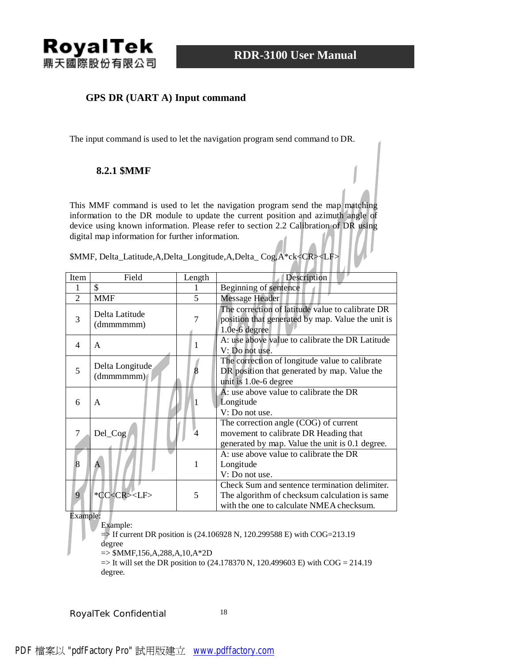

# **GPS DR (UART A) Input command**

The input command is used to let the navigation program send command to DR.

#### **8.2.1 \$MMF**

This MMF command is used to let the navigation program send the map matching information to the DR module to update the current position and azimuth angle of device using known information. Please refer to section 2.2 Calibration of DR using digital map information for further information.

| Item                     | Field                        | Length | Description                                                                                                                                |
|--------------------------|------------------------------|--------|--------------------------------------------------------------------------------------------------------------------------------------------|
|                          | \$                           |        | Beginning of sentence                                                                                                                      |
| $\overline{2}$           | <b>MMF</b>                   | 5      | <b>Message Header</b>                                                                                                                      |
| 3                        | Delta Latitude<br>(dmmmmmm)  |        | The correction of latitude value to calibrate DR<br>position that generated by map. Value the unit is<br>$1.0e-6$ degree                   |
| $\overline{\mathcal{A}}$ | A                            | 1      | A: use above value to calibrate the DR Latitude<br>V: Do not use.                                                                          |
| 5                        | Delta Longitude<br>(dmmmmmm) |        | The correction of longitude value to calibrate<br>DR position that generated by map. Value the<br>unit is 1.0e-6 degree                    |
| 6                        | A                            |        | A: use above value to calibrate the DR<br>Longitude<br>V: Do not use.                                                                      |
| 7                        | Del_Cog                      |        | The correction angle (COG) of current<br>movement to calibrate DR Heading that<br>generated by map. Value the unit is 0.1 degree.          |
| 8                        |                              | 1      | A: use above value to calibrate the DR<br>Longitude<br>V: Do not use.                                                                      |
|                          | *CC <cr><lf></lf></cr>       | 5      | Check Sum and sentence termination delimiter.<br>The algorithm of checksum calculation is same<br>with the one to calculate NMEA checksum. |

\$MMF, Delta\_Latitude,A,Delta\_Longitude,A,Delta\_Cog,A\*ck<CR

Example:

Example: => If current DR position is (24.106928 N, 120.299588 E) with COG=213.19 degree

=> \$MMF,156,A,288,A,10,A\*2D

 $\Rightarrow$  It will set the DR position to (24.178370 N, 120.499603 E) with COG = 214.19 degree.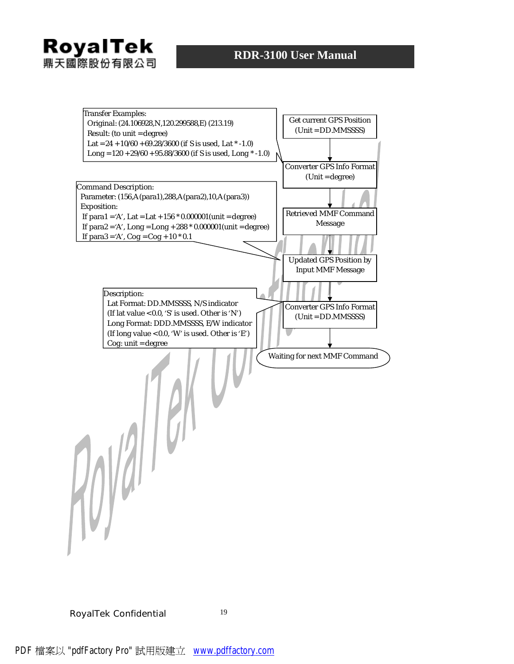

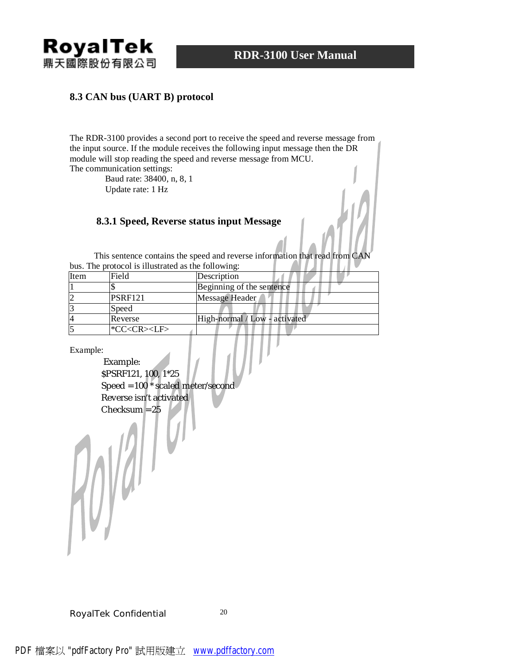

# **8.3 CAN bus (UART B) protocol**

The RDR-3100 provides a second port to receive the speed and reverse message from the input source. If the module receives the following input message then the DR module will stop reading the speed and reverse message from MCU. The communication settings:

 Baud rate: 38400, n, 8, 1 Update rate: 1 Hz

#### **8.3.1 Speed, Reverse status input Message**

This sentence contains the speed and reverse information that read f bus. The protocol is illustrated as the following: A

| $\sigma$ as, the protocol is intestrated as the rollowing. |                        |                               |  |
|------------------------------------------------------------|------------------------|-------------------------------|--|
| Item                                                       | Field                  | Description                   |  |
|                                                            |                        | Beginning of the sentence     |  |
|                                                            | PSRF121                | <b>Message Header</b>         |  |
|                                                            | Speed                  |                               |  |
|                                                            | Reverse                | High-normal / Low - activated |  |
|                                                            | *CC <cr><lf></lf></cr> |                               |  |

Example:

Example: \$PSRF121, 100, 1\*25 Speed = 100 \* scaled meter/second Reverse isn't activated  $Checksum = 25$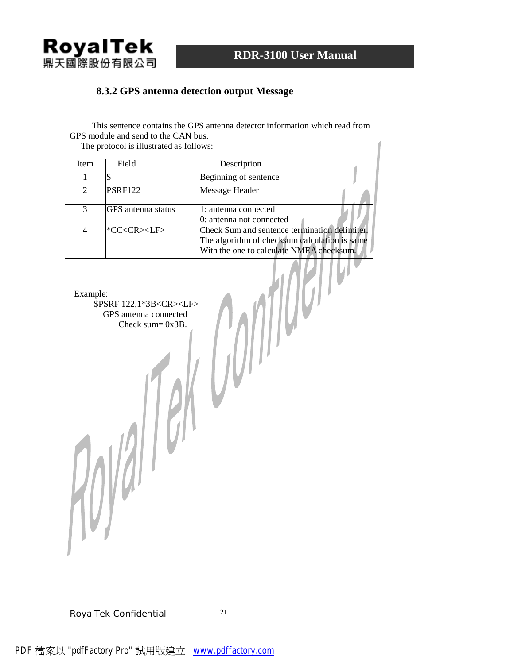

# **8.3.2 GPS antenna detection output Message**

 This sentence contains the GPS antenna detector information which read from GPS module and send to the CAN bus.

The protocol is illustrated as follows:

| Item           | Field                  | Description                                                                                                                                |
|----------------|------------------------|--------------------------------------------------------------------------------------------------------------------------------------------|
|                |                        | Beginning of sentence                                                                                                                      |
| $\mathfrak{D}$ | <b>PSRF122</b>         | Message Header                                                                                                                             |
| 3              | GPS antenna status     | 1: antenna connected                                                                                                                       |
|                |                        | 0: antenna not connected                                                                                                                   |
| 4              | *CC <cr><lf></lf></cr> | Check Sum and sentence termination delimiter.<br>The algorithm of checksum calculation is same<br>With the one to calculate NMEA checksum. |

Example: \$PSRF 122,1\*3B<CR><LF> GPS antenna connected Check sum= 0x3B.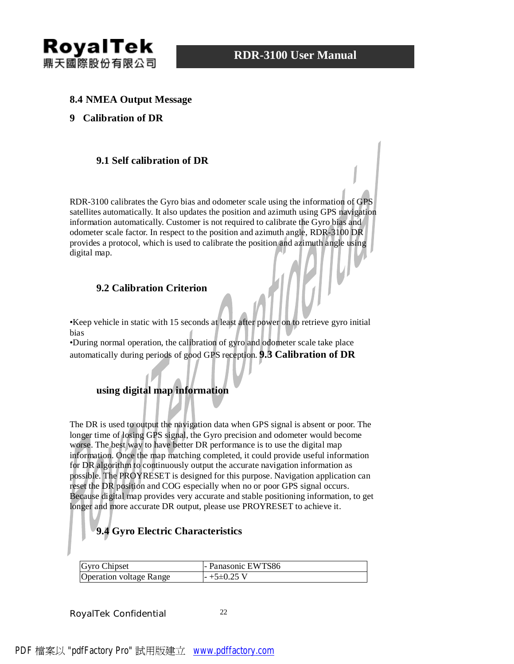

## **8.4 NMEA Output Message**

#### **9 Calibration of DR**

#### **9.1 Self calibration of DR**

RDR-3100 calibrates the Gyro bias and odometer scale using the information of GPS satellites automatically. It also updates the position and azimuth using GPS navigation information automatically. Customer is not required to calibrate the Gyro bias and odometer scale factor. In respect to the position and azimuth angle, RDR-3100 DR provides a protocol, which is used to calibrate the position and azimuth angle using digital map.

## **9.2 Calibration Criterion**

•Keep vehicle in static with 15 seconds at least after power on to retrieve gyro initial bias

•During normal operation, the calibration of gyro and odometer scale take place automatically during periods of good GPS reception. **9.3 Calibration of DR** 

#### **using digital map information**

The DR is used to output the navigation data when GPS signal is absent or poor. The longer time of losing GPS signal, the Gyro precision and odometer would become worse. The best way to have better DR performance is to use the digital map information. Once the map matching completed, it could provide useful information for DR algorithm to continuously output the accurate navigation information as possible. The PROYRESET is designed for this purpose. Navigation application can reset the DR position and COG especially when no or poor GPS signal occurs. Because digital map provides very accurate and stable positioning information, to get longer and more accurate DR output, please use PROYRESET to achieve it.

# **9.4 Gyro Electric Characteristics**

| <b>Gyro Chipset</b>            | - Panasonic EWTS86 |
|--------------------------------|--------------------|
| <b>Operation voltage Range</b> | $+5\pm0.25$ V      |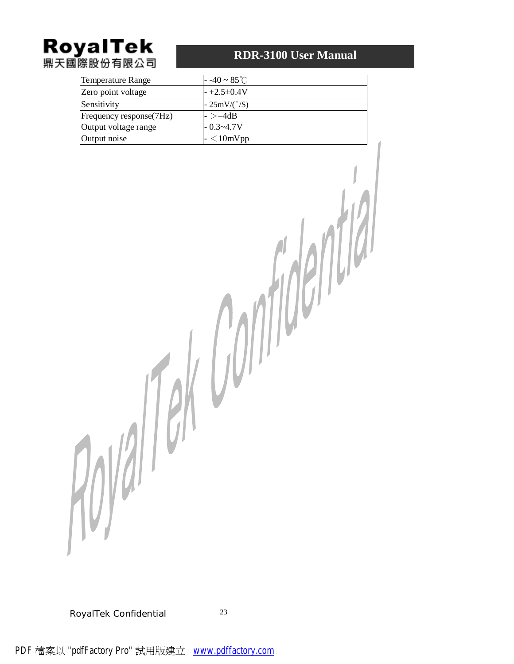# **RoyalTek**<br>鼎天國際股份有限公司

**RDR-3100 User Manual** 

| <b>Temperature Range</b> | $-40 \sim 85^{\circ}$ C |
|--------------------------|-------------------------|
| Zero point voltage       | $-+2.5\pm0.4V$          |
| Sensitivity              | $-25mV/({\degree}/S)$   |
| Frequency response(7Hz)  | $ >$ $-4dB$             |
| Output voltage range     | $-0.3 - 4.7V$           |
| Output noise             | $ <$ 10mVpp             |

 $\overline{\mathcal{A}}$